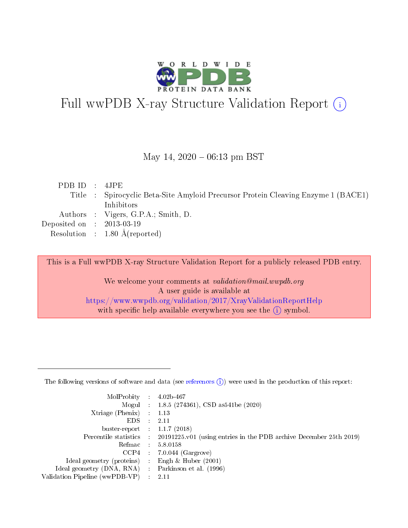

# Full wwPDB X-ray Structure Validation Report (i)

#### May 14,  $2020 - 06:13$  pm BST

| PDBID : 4JPE                |                                                                                   |
|-----------------------------|-----------------------------------------------------------------------------------|
|                             | Title : Spirocyclic Beta-Site Amyloid Precursor Protein Cleaving Enzyme 1 (BACE1) |
|                             | Inhibitors                                                                        |
|                             | Authors : Vigers, G.P.A.; Smith, D.                                               |
| Deposited on : $2013-03-19$ |                                                                                   |
|                             | Resolution : $1.80 \text{ Å}$ (reported)                                          |

This is a Full wwPDB X-ray Structure Validation Report for a publicly released PDB entry.

We welcome your comments at validation@mail.wwpdb.org A user guide is available at <https://www.wwpdb.org/validation/2017/XrayValidationReportHelp> with specific help available everywhere you see the  $(i)$  symbol.

The following versions of software and data (see [references](https://www.wwpdb.org/validation/2017/XrayValidationReportHelp#references)  $(1)$ ) were used in the production of this report:

| MolProbity                     | $\mathcal{L}_{\rm{max}}$ | $4.02b - 467$                                                                |
|--------------------------------|--------------------------|------------------------------------------------------------------------------|
|                                |                          | Mogul : $1.8.5$ (274361), CSD as 541be (2020)                                |
| $X$ triage (Phenix) :          |                          | 1.13                                                                         |
| EDS.                           |                          | 2.11                                                                         |
| buster-report : $1.1.7$ (2018) |                          |                                                                              |
| Percentile statistics :        |                          | $20191225 \text{ v}01$ (using entries in the PDB archive December 25th 2019) |
| Refmac                         |                          | 5.8.0158                                                                     |
| $CCP4$ :                       |                          | $7.0.044$ (Gargrove)                                                         |
| Ideal geometry (proteins) :    |                          | Engh $\&$ Huber (2001)                                                       |
| Ideal geometry (DNA, RNA) :    |                          | Parkinson et al. (1996)                                                      |
| Validation Pipeline (wwPDB-VP) | $\mathcal{L}$            | -2.11                                                                        |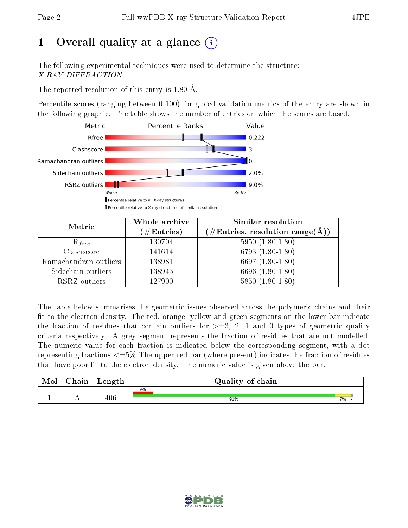# 1 [O](https://www.wwpdb.org/validation/2017/XrayValidationReportHelp#overall_quality)verall quality at a glance  $(i)$

The following experimental techniques were used to determine the structure: X-RAY DIFFRACTION

The reported resolution of this entry is 1.80 Å.

Percentile scores (ranging between 0-100) for global validation metrics of the entry are shown in the following graphic. The table shows the number of entries on which the scores are based.



| Metric                | Whole archive<br>$(\#\mathrm{Entries})$ | Similar resolution<br>$(\#\text{Entries}, \text{resolution range}(\text{\AA}))$ |  |  |
|-----------------------|-----------------------------------------|---------------------------------------------------------------------------------|--|--|
| $R_{free}$            | 130704                                  | $5950(1.80-1.80)$                                                               |  |  |
| Clashscore            | 141614                                  | 6793 $(1.80-1.80)$                                                              |  |  |
| Ramachandran outliers | 138981                                  | 6697 $(1.80-1.80)$                                                              |  |  |
| Sidechain outliers    | 138945                                  | 6696 (1.80-1.80)                                                                |  |  |
| RSRZ outliers         | 127900                                  | $5850(1.80-1.80)$                                                               |  |  |

The table below summarises the geometric issues observed across the polymeric chains and their fit to the electron density. The red, orange, yellow and green segments on the lower bar indicate the fraction of residues that contain outliers for  $>=3, 2, 1$  and 0 types of geometric quality criteria respectively. A grey segment represents the fraction of residues that are not modelled. The numeric value for each fraction is indicated below the corresponding segment, with a dot representing fractions  $\epsilon=5\%$  The upper red bar (where present) indicates the fraction of residues that have poor fit to the electron density. The numeric value is given above the bar.

| Mol | $\cap$ hain | Length | Quality of chain |    |
|-----|-------------|--------|------------------|----|
| л.  | . .         | 406    | 9%<br>91%        | 7% |

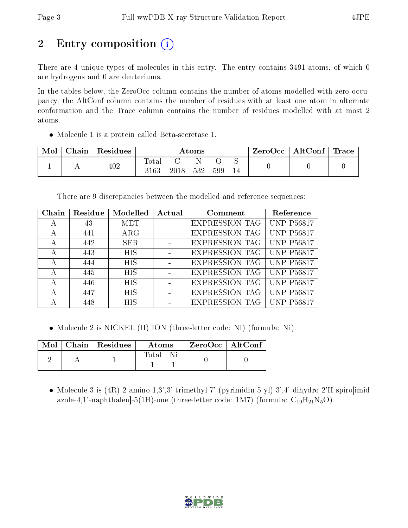# 2 Entry composition  $\left( \cdot \right)$

There are 4 unique types of molecules in this entry. The entry contains 3491 atoms, of which 0 are hydrogens and 0 are deuteriums.

In the tables below, the ZeroOcc column contains the number of atoms modelled with zero occupancy, the AltConf column contains the number of residues with at least one atom in alternate conformation and the Trace column contains the number of residues modelled with at most 2 atoms.

Molecule 1 is a protein called Beta-secretase 1.

| Mol | Chain | Residues | $\rm{Atoms}$        |      |     |     |  | $ZeroOcc \mid AltConf \mid$ | $^\shortparallel$ Trace $\shortparallel$ |
|-----|-------|----------|---------------------|------|-----|-----|--|-----------------------------|------------------------------------------|
|     |       | 402      | $\rm Total$<br>3163 | 2018 | 532 | 599 |  |                             |                                          |

There are 9 discrepancies between the modelled and reference sequences:

| Chain | Residue | Modelled   | Actual | Comment               | Reference         |
|-------|---------|------------|--------|-----------------------|-------------------|
| А     | 43      | MET        |        | <b>EXPRESSION TAG</b> | <b>UNP P56817</b> |
| А     | 441     | $\rm{ARG}$ |        | <b>EXPRESSION TAG</b> | <b>UNP P56817</b> |
| А     | 442     | <b>SER</b> |        | <b>EXPRESSION TAG</b> | <b>UNP P56817</b> |
| А     | 443     | <b>HIS</b> |        | <b>EXPRESSION TAG</b> | <b>UNP P56817</b> |
| А     | 444     | <b>HIS</b> |        | <b>EXPRESSION TAG</b> | <b>UNP P56817</b> |
| А     | 445     | <b>HIS</b> |        | <b>EXPRESSION TAG</b> | <b>UNP P56817</b> |
| А     | 446     | <b>HIS</b> |        | <b>EXPRESSION TAG</b> | <b>UNP P56817</b> |
| А     | 447     | <b>HIS</b> |        | <b>EXPRESSION TAG</b> | <b>UNP P56817</b> |
|       | 448     | <b>HIS</b> |        | <b>EXPRESSION TAG</b> | <b>UNP P56817</b> |

• Molecule 2 is NICKEL (II) ION (three-letter code: NI) (formula: Ni).

|  | $\parallel$ Mol $\parallel$ Chain $\parallel$ Residues $\parallel$ | Atoms  | $\mid$ ZeroOcc $\mid$ AltConf $\mid$ |  |
|--|--------------------------------------------------------------------|--------|--------------------------------------|--|
|  |                                                                    | Total. |                                      |  |

• Molecule 3 is  $(4R)$ -2-amino-1,3',3'-trimethyl-7'-(pyrimidin-5-yl)-3',4'-dihydro-2'H-spiro[imid azole-4,1'-naphthalen]-5(1H)-one (three-letter code: 1M7) (formula:  $C_{19}H_{21}N_5O$ ).

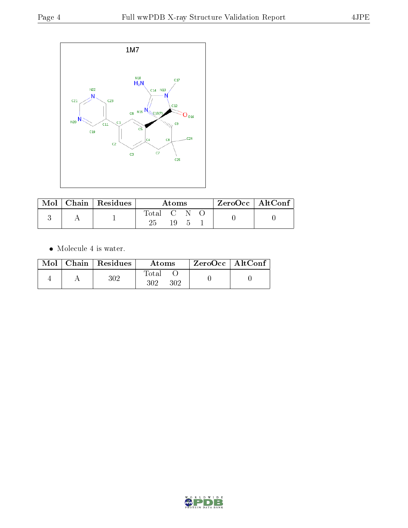

|  | Mol   Chain   Residues | Atoms     |  |  |  | ZeroOcc   AltConf |
|--|------------------------|-----------|--|--|--|-------------------|
|  |                        | Total C N |  |  |  |                   |
|  |                        |           |  |  |  |                   |

 $\bullet\,$  Molecule 4 is water.

|  | $Mol$   Chain   Residues | Atoms               | $ZeroOcc$   AltConf |  |
|--|--------------------------|---------------------|---------------------|--|
|  | $302\,$                  | Total<br>302<br>302 |                     |  |

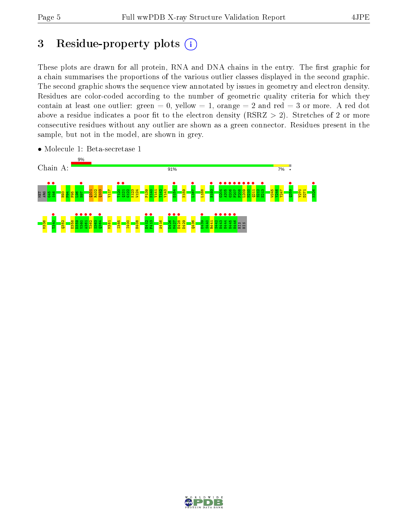## 3 Residue-property plots  $(i)$

These plots are drawn for all protein, RNA and DNA chains in the entry. The first graphic for a chain summarises the proportions of the various outlier classes displayed in the second graphic. The second graphic shows the sequence view annotated by issues in geometry and electron density. Residues are color-coded according to the number of geometric quality criteria for which they contain at least one outlier: green  $= 0$ , yellow  $= 1$ , orange  $= 2$  and red  $= 3$  or more. A red dot above a residue indicates a poor fit to the electron density (RSRZ  $> 2$ ). Stretches of 2 or more consecutive residues without any outlier are shown as a green connector. Residues present in the sample, but not in the model, are shown in grey.



• Molecule 1: Beta-secretase 1

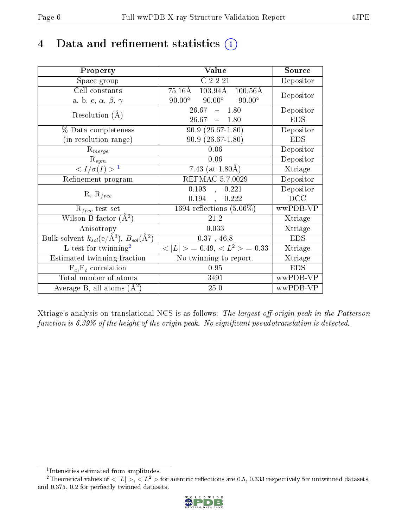## 4 Data and refinement statistics  $(i)$

| Property                                                             | Value                                                         | Source     |
|----------------------------------------------------------------------|---------------------------------------------------------------|------------|
| Space group                                                          | C2221                                                         | Depositor  |
| Cell constants                                                       | $103.94\text{\AA}$<br>$75.16\text{\AA}$<br>$100.56\text{\AA}$ | Depositor  |
| a, b, c, $\alpha$ , $\beta$ , $\gamma$                               | $90.00^\circ$<br>$90.00^{\circ}$ $90.00^{\circ}$              |            |
| Resolution $(A)$                                                     | $26.67 - 1.80$                                                | Depositor  |
|                                                                      | $26.67 - 1.80$                                                | <b>EDS</b> |
| % Data completeness                                                  | $90.9(26.67-1.80)$                                            | Depositor  |
| (in resolution range)                                                | $90.9(26.67-1.80)$                                            | <b>EDS</b> |
| $R_{merge}$                                                          | $0.06\,$                                                      | Depositor  |
| $\mathrm{R}_{sym}$                                                   | 0.06                                                          | Depositor  |
| $\sqrt{I/\sigma}(I) > 1$                                             | 7.43 (at $1.80\text{\AA}$ )                                   | Xtriage    |
| Refinement program                                                   | REFMAC 5.7.0029                                               | Depositor  |
| $R, R_{free}$                                                        | 0.193<br>0.221<br>$\frac{1}{2}$                               | Depositor  |
|                                                                      | 0.194<br>0.222<br>$\mathcal{L}^{\mathcal{L}}$                 | DCC        |
| $R_{free}$ test set                                                  | 1694 reflections $(5.06\%)$                                   | wwPDB-VP   |
| Wilson B-factor $(A^2)$                                              | 21.2                                                          | Xtriage    |
| Anisotropy                                                           | 0.033                                                         | Xtriage    |
| Bulk solvent $k_{sol}(e/\mathring{A}^3)$ , $B_{sol}(\mathring{A}^2)$ | $0.37$ , 46.8                                                 | <b>EDS</b> |
| $L$ -test for twinning <sup>2</sup>                                  | $< L >$ = 0.49, $< L2$ = 0.33                                 | Xtriage    |
| Estimated twinning fraction                                          | No twinning to report.                                        | Xtriage    |
| $F_o, F_c$ correlation                                               | 0.95                                                          | <b>EDS</b> |
| Total number of atoms                                                | 3491                                                          | wwPDB-VP   |
| Average B, all atoms $(A^2)$                                         | 25.0                                                          | wwPDB-VP   |

Xtriage's analysis on translational NCS is as follows: The largest off-origin peak in the Patterson function is  $6.39\%$  of the height of the origin peak. No significant pseudotranslation is detected.

<sup>&</sup>lt;sup>2</sup>Theoretical values of  $\langle |L| \rangle$ ,  $\langle L^2 \rangle$  for acentric reflections are 0.5, 0.333 respectively for untwinned datasets, and 0.375, 0.2 for perfectly twinned datasets.



<span id="page-5-1"></span><span id="page-5-0"></span><sup>1</sup> Intensities estimated from amplitudes.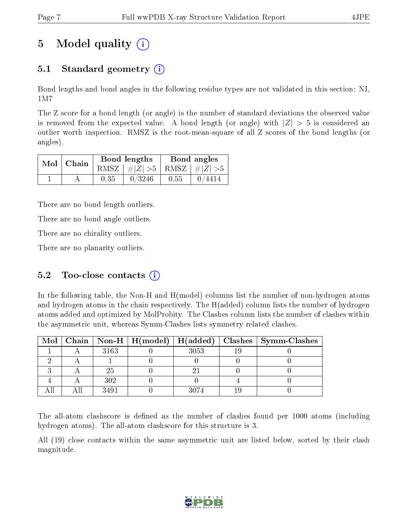## 5 Model quality  $(i)$

### 5.1 Standard geometry  $\overline{()}$

Bond lengths and bond angles in the following residue types are not validated in this section: NI, 1M7

The Z score for a bond length (or angle) is the number of standard deviations the observed value is removed from the expected value. A bond length (or angle) with  $|Z| > 5$  is considered an outlier worth inspection. RMSZ is the root-mean-square of all Z scores of the bond lengths (or angles).

|  | $Mol$   Chain |      | Bond lengths                    | Bond angles |                                                                 |  |
|--|---------------|------|---------------------------------|-------------|-----------------------------------------------------------------|--|
|  |               |      | RMSZ $ #Z  > 5$ RMSZ $ #Z  > 5$ |             |                                                                 |  |
|  |               | 0.35 | 0/3246                          | 0.55        | $\begin{array}{ c c c c c } \hline 0/4414 \ \hline \end{array}$ |  |

There are no bond length outliers.

There are no bond angle outliers.

There are no chirality outliers.

There are no planarity outliers.

### 5.2 Too-close contacts  $(i)$

In the following table, the Non-H and H(model) columns list the number of non-hydrogen atoms and hydrogen atoms in the chain respectively. The H(added) column lists the number of hydrogen atoms added and optimized by MolProbity. The Clashes column lists the number of clashes within the asymmetric unit, whereas Symm-Clashes lists symmetry related clashes.

|  |      |      | Mol   Chain   Non-H   H(model)   H(added)   Clashes   Symm-Clashes |
|--|------|------|--------------------------------------------------------------------|
|  | 3163 | 3053 |                                                                    |
|  |      |      |                                                                    |
|  | 25   |      |                                                                    |
|  | 302  |      |                                                                    |
|  | 3491 | 3074 |                                                                    |

The all-atom clashscore is defined as the number of clashes found per 1000 atoms (including hydrogen atoms). The all-atom clashscore for this structure is 3.

All (19) close contacts within the same asymmetric unit are listed below, sorted by their clash magnitude.

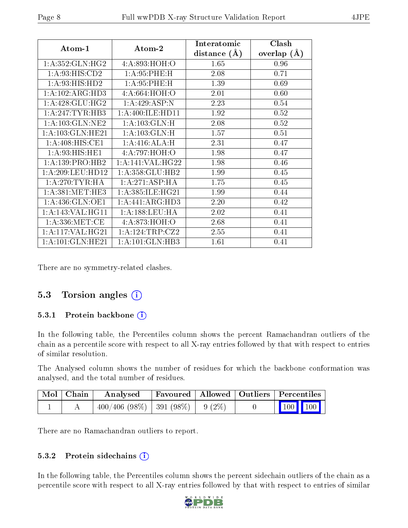| Atom-1                          | Atom-2               | Interatomic    | Clash         |
|---------------------------------|----------------------|----------------|---------------|
|                                 |                      | distance $(A)$ | overlap $(A)$ |
| 1: A:352: GLN: HG2              | 4:A:893:HOH:O        | 1.65           | 0.96          |
| 1:A:93:HIS:CD2                  | 1:A:95:PHE:H         | 2.08           | 0.71          |
| 1:A:93:HIS:HD2                  | 1:A:95:PHE:H         | 1.39           | 0.69          |
| 1:A:102:ARG:HD3                 | 4:A:664:HOH:O        | 2.01           | 0.60          |
| 1:A:428:GLU:HG2                 | 1:A:429:ASP:N        | 2.23           | 0.54          |
| 1: A:247:TYR:HB3                | 1: A:400:ILE:HD11    | 1.92           | 0.52          |
| 1:A:103:GLN:NE2                 | 1:A:103:GLN:H        | 2.08           | 0.52          |
| $1:$ A:103: $GLN$ :HE21         | 1:A:103:GLN:H        | 1.57           | 0.51          |
| 1:A:408:HIS:CE1                 | 1:A:416:ALA:H        | 2.31           | 0.47          |
| 1: A:93:HIS:HE1                 | 4:A:797:HOH:O        | 1.98           | 0.47          |
| 1:A:139:PRO:HB2                 | 1:A:141:VAL:HG22     | 1.98           | 0.46          |
| 1: A:209:LEU:HD12               | 1: A: 358: GLU: HB2  | 1.99           | 0.45          |
| 1:A:270:TYR:HA                  | 1:A:271:ASP:HA       | 1.75           | 0.45          |
| 1: A:381: MET:HE3               | 1: A: 385: ILE: HG21 | 1.99           | 0.44          |
| $1: A:436: GLN: \overline{OE1}$ | 1:A:441:ARG:HD3      | 2.20           | 0.42          |
| 1: A:143: VAL:HGI1              | 1: A: 188: LEU: HA   | 2.02           | 0.41          |
| 1: A: 336: MET:CE               | 4:A:873:HOH:O        | 2.68           | 0.41          |
| 1:A:117:VAL:HG21                | 1: A:124:TRP: CZ2    | 2.55           | 0.41          |
| 1: A: 101: GLN: HE21            | 1: A: 101: GLN: HB3  | 1.61           | 0.41          |

There are no symmetry-related clashes.

#### 5.3 Torsion angles (i)

#### 5.3.1 Protein backbone (i)

In the following table, the Percentiles column shows the percent Ramachandran outliers of the chain as a percentile score with respect to all X-ray entries followed by that with respect to entries of similar resolution.

The Analysed column shows the number of residues for which the backbone conformation was analysed, and the total number of residues.

| $^{\shortmid}$ Mol $\mid$ Chain $\mid$ | Analysed                                 |  | Favoured   Allowed   Outliers   Percentiles                                |  |
|----------------------------------------|------------------------------------------|--|----------------------------------------------------------------------------|--|
|                                        | $-400/406$ (98\%)   391 (98\%)   9 (2\%) |  | $\begin{array}{ c c c c c }\n\hline\n\hline\n\quad 100 & 100\n\end{array}$ |  |

There are no Ramachandran outliers to report.

#### 5.3.2 Protein sidechains (i)

In the following table, the Percentiles column shows the percent sidechain outliers of the chain as a percentile score with respect to all X-ray entries followed by that with respect to entries of similar

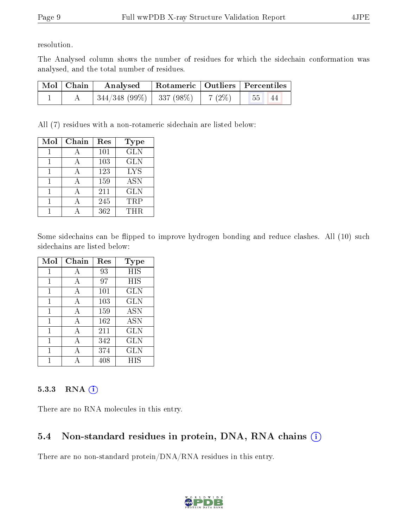resolution.

The Analysed column shows the number of residues for which the sidechain conformation was analysed, and the total number of residues.

| Mol   Chain | $\boldsymbol{\mathrm{Analysed}}$ |          | Rotameric   Outliers   Percentiles |  |
|-------------|----------------------------------|----------|------------------------------------|--|
|             | $+344/348(99\%) + 337(98\%)$     | $7(2\%)$ | $ 55\rangle$<br>- 44               |  |

All (7) residues with a non-rotameric sidechain are listed below:

| Mol | Chain | Res | <b>Type</b> |
|-----|-------|-----|-------------|
|     |       | 101 | <b>GLN</b>  |
|     |       | 103 | <b>GLN</b>  |
|     |       | 123 | <b>LYS</b>  |
|     |       | 159 | <b>ASN</b>  |
|     |       | 211 | <b>GLN</b>  |
|     |       | 245 | <b>TRP</b>  |
|     |       | 362 | THR.        |

Some sidechains can be flipped to improve hydrogen bonding and reduce clashes. All (10) such sidechains are listed below:

| Mol | Chain | Res | Type       |
|-----|-------|-----|------------|
| 1   | А     | 93  | <b>HIS</b> |
| 1   | A     | 97  | HIS        |
| 1   | А     | 101 | <b>GLN</b> |
| 1   | А     | 103 | <b>GLN</b> |
| 1   | А     | 159 | <b>ASN</b> |
| 1   | А     | 162 | <b>ASN</b> |
| 1   | A     | 211 | GLN        |
| 1   | А     | 342 | <b>GLN</b> |
| 1   | А     | 374 | <b>GLN</b> |
|     |       | 408 | HIS        |

#### 5.3.3 RNA (i)

There are no RNA molecules in this entry.

### 5.4 Non-standard residues in protein, DNA, RNA chains (i)

There are no non-standard protein/DNA/RNA residues in this entry.

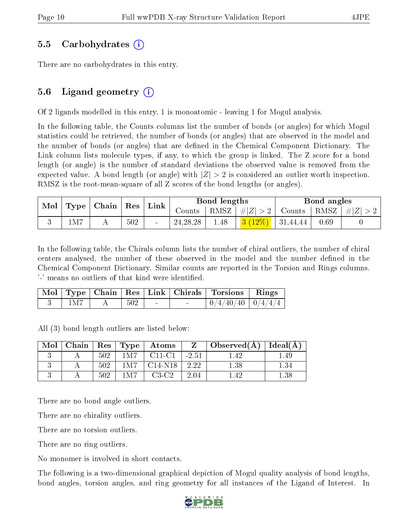#### 5.5 Carbohydrates (i)

There are no carbohydrates in this entry.

### 5.6 Ligand geometry (i)

Of 2 ligands modelled in this entry, 1 is monoatomic - leaving 1 for Mogul analysis.

In the following table, the Counts columns list the number of bonds (or angles) for which Mogul statistics could be retrieved, the number of bonds (or angles) that are observed in the model and the number of bonds (or angles) that are defined in the Chemical Component Dictionary. The Link column lists molecule types, if any, to which the group is linked. The Z score for a bond length (or angle) is the number of standard deviations the observed value is removed from the expected value. A bond length (or angle) with  $|Z| > 2$  is considered an outlier worth inspection. RMSZ is the root-mean-square of all Z scores of the bond lengths (or angles).

|  | $\mid$ Mol $\mid$ Type $\mid$ Chain $\mid$ Res $\mid$ Link $\mid$ |                | Bond lengths |            |      | Bond angles                     |                                                                              |      |  |
|--|-------------------------------------------------------------------|----------------|--------------|------------|------|---------------------------------|------------------------------------------------------------------------------|------|--|
|  |                                                                   | Counts $\perp$ |              |            |      |                                 | $\mid$ RMSZ $\mid \#  Z  > 2 \mid$ Counts $\mid$ RMSZ $\mid \#  Z  > 2 \mid$ |      |  |
|  | 1M7                                                               |                | 502          | 24, 28, 28 | 1.48 | <mark>3 (12%)</mark>   31,44,44 |                                                                              | 0.69 |  |

In the following table, the Chirals column lists the number of chiral outliers, the number of chiral centers analysed, the number of these observed in the model and the number defined in the Chemical Component Dictionary. Similar counts are reported in the Torsion and Rings columns. '-' means no outliers of that kind were identified.

|       |     |  | Mol   Type   Chain   Res   Link   Chirals   Torsions   Rings |  |
|-------|-----|--|--------------------------------------------------------------|--|
| 1 M 7 | 502 |  | $\mid 0/4/40/40 \mid 0/4/4/4$                                |  |

All (3) bond length outliers are listed below:

| Mol |     |       | Chain   Res   Type   Atoms | $Z_{-}$ | $\Box$ Observed(A) $\Box$ | Ideal $(A)$ |
|-----|-----|-------|----------------------------|---------|---------------------------|-------------|
|     | 502 | 1M7   | C11-C1 1                   | $-2.51$ | - 42                      | .49         |
|     | 502 | 1 M 7 | $C14-N18$                  | 2.22    | $1.38\,$                  |             |
|     | 502 | 1 M 7 | $C3-C2$                    | 2.04    |                           | .38         |

There are no bond angle outliers.

There are no chirality outliers.

There are no torsion outliers.

There are no ring outliers.

No monomer is involved in short contacts.

The following is a two-dimensional graphical depiction of Mogul quality analysis of bond lengths, bond angles, torsion angles, and ring geometry for all instances of the Ligand of Interest. In

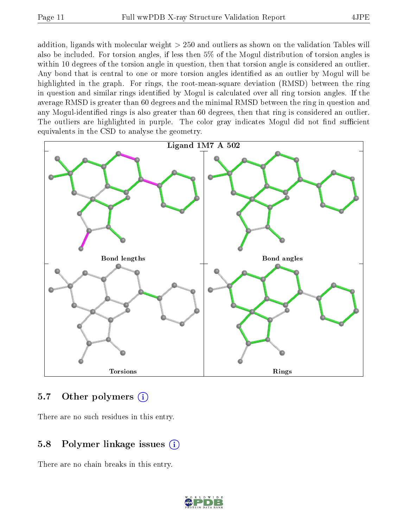addition, ligands with molecular weight > 250 and outliers as shown on the validation Tables will also be included. For torsion angles, if less then 5% of the Mogul distribution of torsion angles is within 10 degrees of the torsion angle in question, then that torsion angle is considered an outlier. Any bond that is central to one or more torsion angles identified as an outlier by Mogul will be highlighted in the graph. For rings, the root-mean-square deviation (RMSD) between the ring in question and similar rings identified by Mogul is calculated over all ring torsion angles. If the average RMSD is greater than 60 degrees and the minimal RMSD between the ring in question and any Mogul-identied rings is also greater than 60 degrees, then that ring is considered an outlier. The outliers are highlighted in purple. The color gray indicates Mogul did not find sufficient equivalents in the CSD to analyse the geometry.



#### 5.7 [O](https://www.wwpdb.org/validation/2017/XrayValidationReportHelp#nonstandard_residues_and_ligands)ther polymers (i)

There are no such residues in this entry.

### 5.8 Polymer linkage issues (i)

There are no chain breaks in this entry.

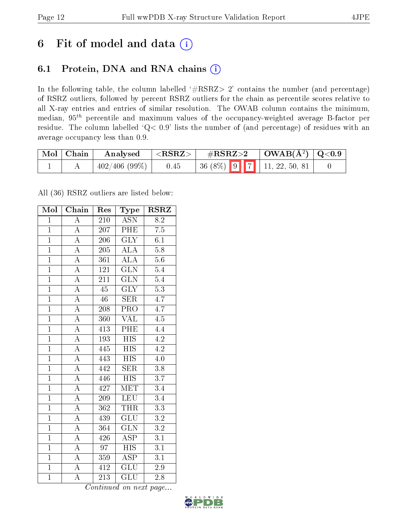## 6 Fit of model and data  $(i)$

### 6.1 Protein, DNA and RNA chains  $(i)$

In the following table, the column labelled  $#RSRZ> 2'$  contains the number (and percentage) of RSRZ outliers, followed by percent RSRZ outliers for the chain as percentile scores relative to all X-ray entries and entries of similar resolution. The OWAB column contains the minimum, median,  $95<sup>th</sup>$  percentile and maximum values of the occupancy-weighted average B-factor per residue. The column labelled ' $Q< 0.9$ ' lists the number of (and percentage) of residues with an average occupancy less than 0.9.

| $\mid$ Mol $\mid$ Chain | Analysed     | ${ <\hspace{-1.5pt}{\mathrm{RSRZ}} \hspace{-1.5pt}>}$ | $\#\text{RSRZ}{>}2$ |  | $\vert$ OWAB(Å <sup>2</sup> ) $\vert$ Q<0.9 |  |
|-------------------------|--------------|-------------------------------------------------------|---------------------|--|---------------------------------------------|--|
|                         | 402/406(99%) | 0.45                                                  |                     |  |                                             |  |

All (36) RSRZ outliers are listed below:

| Mol            | Chain              | Res              | Type                    | <b>RSRZ</b>      |
|----------------|--------------------|------------------|-------------------------|------------------|
| $\mathbf{1}$   | $\overline{\rm A}$ | 210              | <b>ASN</b>              | 8.2              |
| $\mathbf{1}$   | $\overline{\rm A}$ | 207              | PHE                     | 7.5              |
| $\overline{1}$ | $\overline{\rm A}$ | 206              | $\overline{\text{GLY}}$ | 6.1              |
| $\overline{1}$ | $\overline{\rm A}$ | 205              | <b>ALA</b>              | $\overline{5.8}$ |
| $\overline{1}$ | $\overline{\rm A}$ | $\overline{361}$ | $\overline{\rm ALA}$    | $\overline{5.6}$ |
| $\overline{1}$ | $\overline{\rm A}$ | $\overline{1}21$ | $\overline{\text{GLN}}$ | 5.4              |
| $\overline{1}$ | $\overline{\rm A}$ | $\overline{211}$ | $\overline{\text{GLN}}$ | $\overline{5.4}$ |
| $\overline{1}$ | $\overline{A}$     | $\overline{45}$  | $\overline{\text{GLY}}$ | $\overline{5.3}$ |
| $\mathbf{1}$   | $\overline{\rm A}$ | $46\,$           | <b>SER</b>              | 4.7              |
| $\overline{1}$ | $\overline{\rm A}$ | 208              | PRO                     | 4.7              |
| $\overline{1}$ | $\overline{\rm A}$ | 360              | <b>VAL</b>              | $\overline{4.5}$ |
| $\overline{1}$ | $\overline{A}$     | 413              | PHE                     | $\overline{4.4}$ |
| $\overline{1}$ | $\overline{A}$     | 193              | <b>HIS</b>              | 4.2              |
| $\overline{1}$ | $\overline{\rm A}$ | 445              | $\overline{HIS}$        | 4.2              |
| $\overline{1}$ | $\overline{\rm A}$ | 443              | $\overline{HIS}$        | $\overline{4.0}$ |
| $\overline{1}$ | $\overline{\rm A}$ | 442              | $\overline{\text{SER}}$ | 3.8              |
| $\overline{1}$ | $\overline{A}$     | 446              | $\overline{HIS}$        | $\overline{3.7}$ |
| $\overline{1}$ | $\overline{\rm A}$ | 427              | <b>MET</b>              | 3.4              |
| $\overline{1}$ | $\overline{\rm A}$ | 209              | <b>LEU</b>              | $\overline{3.4}$ |
| $\overline{1}$ | $\overline{\rm A}$ | 362              | THR                     | $\overline{3.3}$ |
| $\overline{1}$ | $\overline{\rm A}$ | 439              | GLU                     | $\rm 3.2$        |
| $\overline{1}$ | $\overline{A}$     | 364              | $\overline{\text{GLN}}$ | $\overline{3.2}$ |
| $\overline{1}$ | $\boldsymbol{A}$   | 426              | $\overline{\text{ASP}}$ | $\overline{3.1}$ |
| $\overline{1}$ | $\overline{A}$     | $\overline{97}$  | $\overline{HIS}$        | $\overline{3.1}$ |
| $\overline{1}$ | $\overline{\rm A}$ | 359              | $\overline{\text{ASP}}$ | 3.1              |
| $\overline{1}$ | A                  | 412              | <b>GLU</b>              | 2.9              |
| $\overline{1}$ | $\overline{\rm A}$ | $2\overline{13}$ | $\overline{\text{GLU}}$ | 2.8              |

Continued on next page...

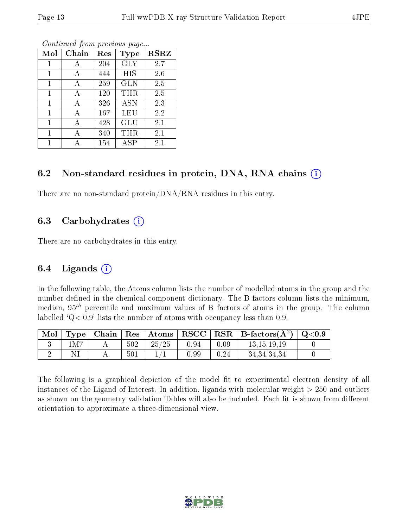| Mol | Chain | Res | Type             | <b>RSRZ</b> |
|-----|-------|-----|------------------|-------------|
|     |       | 204 | <b>GLY</b>       | 2.7         |
| 1   | А     | 444 | <b>HIS</b>       | 2.6         |
| 1   | А     | 259 | <b>GLN</b>       | 2.5         |
| 1   | А     | 120 | THR              | 2.5         |
| 1   | А     | 326 | $\overline{ASN}$ | 2.3         |
| 1   | А     | 167 | LEU              | 2.2         |
| 1   | А     | 428 | GLU              | 2.1         |
| 1   |       | 340 | THR              | 2.1         |
|     |       | 154 | <b>ASP</b>       | 2.1         |

Continued from previous page...

#### 6.2 Non-standard residues in protein, DNA, RNA chains  $(i)$

There are no non-standard protein/DNA/RNA residues in this entry.

#### 6.3 Carbohydrates  $(i)$

There are no carbohydrates in this entry.

#### 6.4 Ligands  $(i)$

In the following table, the Atoms column lists the number of modelled atoms in the group and the number defined in the chemical component dictionary. The B-factors column lists the minimum, median,  $95<sup>th</sup>$  percentile and maximum values of B factors of atoms in the group. The column labelled  $Q< 0.9$ ' lists the number of atoms with occupancy less than 0.9.

| Mol | Type <sub>1</sub> | Chain |     |       |            |      | $\mid$ Res $\mid$ Atoms $\mid$ RSCC $\mid$ RSR $\mid$ B-factors( $\AA^2$ ) $\mid$ Q<0.9 |  |
|-----|-------------------|-------|-----|-------|------------|------|-----------------------------------------------------------------------------------------|--|
|     | 1M7               |       | 502 | 25/25 | 0.94       | 0.09 | 13.15.19.19                                                                             |  |
|     |                   |       | 501 |       | $\rm 0.99$ | 0.24 | 34, 34, 34, 34                                                                          |  |

The following is a graphical depiction of the model fit to experimental electron density of all instances of the Ligand of Interest. In addition, ligands with molecular weight  $> 250$  and outliers as shown on the geometry validation Tables will also be included. Each fit is shown from different orientation to approximate a three-dimensional view.